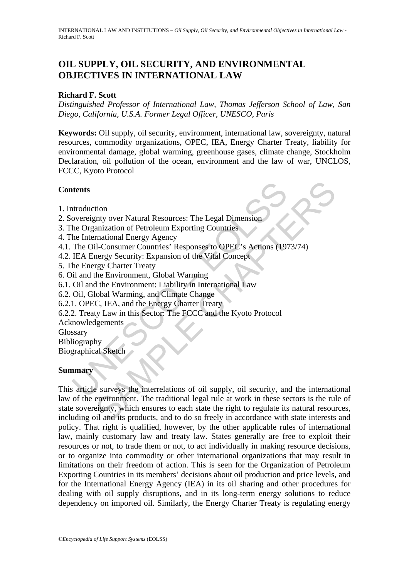# **OIL SUPPLY, OIL SECURITY, AND ENVIRONMENTAL OBJECTIVES IN INTERNATIONAL LAW**

### **Richard F. Scott**

*Distinguished Professor of International Law, Thomas Jefferson School of Law, San Diego, California, U.S.A. Former Legal Officer, UNESCO, Paris* 

**Keywords:** Oil supply, oil security, environment, international law, sovereignty, natural resources, commodity organizations, OPEC, IEA, Energy Charter Treaty, liability for environmental damage, global warming, greenhouse gases, climate change, Stockholm Declaration, oil pollution of the ocean, environment and the law of war, UNCLOS, FCCC, Kyoto Protocol

# **Contents**

- 1. Introduction
- 2. Sovereignty over Natural Resources: The Legal Dimension
- 3. The Organization of Petroleum Exporting Countries
- 4. The International Energy Agency
- 4.1. The Oil-Consumer Countries' Responses to OPEC's Actions (1973/74)
- 4.2. IEA Energy Security: Expansion of the Vital Concept
- 5. The Energy Charter Treaty
- 6. Oil and the Environment, Global Warming
- 6.1. Oil and the Environment: Liability in International Law
- 6.2. Oil, Global Warming, and Climate Change
- 6.2.1. OPEC, IEA, and the Energy Charter Treaty
- 6.2.2. Treaty Law in this Sector: The FCCC and the Kyoto Protocol

Acknowledgements

Glossary

Bibliography

Biographical Sketch

### **Summary**

The United States of States and States and States and States and States and States and States and States and States and States and States and States and States and States and He Entergy Security: Expansion of the Vital Con The Units of Petroleum Exporting Countries<br>
Shareholm Consumer Countries<br>
Traitional Energy Agency<br>
Il-Consumer Countries' Responses to OPEC's Actions (1973/74)<br>
They Cecurity: Expansion of the Vital Concept<br>
Traggy Charte This article surveys the interrelations of oil supply, oil security, and the international law of the environment. The traditional legal rule at work in these sectors is the rule of state sovereignty, which ensures to each state the right to regulate its natural resources, including oil and its products, and to do so freely in accordance with state interests and policy. That right is qualified, however, by the other applicable rules of international law, mainly customary law and treaty law. States generally are free to exploit their resources or not, to trade them or not, to act individually in making resource decisions, or to organize into commodity or other international organizations that may result in limitations on their freedom of action. This is seen for the Organization of Petroleum Exporting Countries in its members' decisions about oil production and price levels, and for the International Energy Agency (IEA) in its oil sharing and other procedures for dealing with oil supply disruptions, and in its long-term energy solutions to reduce dependency on imported oil. Similarly, the Energy Charter Treaty is regulating energy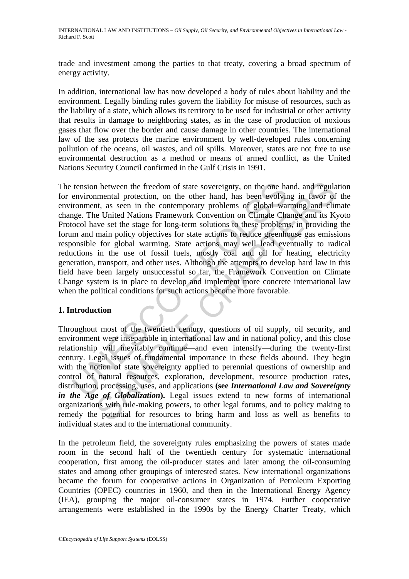trade and investment among the parties to that treaty, covering a broad spectrum of energy activity.

In addition, international law has now developed a body of rules about liability and the environment. Legally binding rules govern the liability for misuse of resources, such as the liability of a state, which allows its territory to be used for industrial or other activity that results in damage to neighboring states, as in the case of production of noxious gases that flow over the border and cause damage in other countries. The international law of the sea protects the marine environment by well-developed rules concerning pollution of the oceans, oil wastes, and oil spills. Moreover, states are not free to use environmental destruction as a method or means of armed conflict, as the United Nations Security Council confirmed in the Gulf Crisis in 1991.

tension between the freedom of state sovereignty, on the one ha<br>environmental protection, on the other hand, has been evolvir<br>ronment, as seen in the contemporary problems of global war<br>age. The United Nations Framework Co n between the freedom of state sovereignty, on the one hand, and regula<br>mental protection, on the other hand, has been evolving in favor of<br>that, as seen in the contemporary problems of global warming and clin<br>te United Na The tension between the freedom of state sovereignty, on the one hand, and regulation for environmental protection, on the other hand, has been evolving in favor of the environment, as seen in the contemporary problems of global warming and climate change. The United Nations Framework Convention on Climate Change and its Kyoto Protocol have set the stage for long-term solutions to these problems, in providing the forum and main policy objectives for state actions to reduce greenhouse gas emissions responsible for global warming. State actions may well lead eventually to radical reductions in the use of fossil fuels, mostly coal and oil for heating, electricity generation, transport, and other uses. Although the attempts to develop hard law in this field have been largely unsuccessful so far, the Framework Convention on Climate Change system is in place to develop and implement more concrete international law when the political conditions for such actions become more favorable.

# **1. Introduction**

Throughout most of the twentieth century, questions of oil supply, oil security, and environment were inseparable in international law and in national policy, and this close relationship will inevitably continue—and even intensify—during the twenty-first century. Legal issues of fundamental importance in these fields abound. They begin with the notion of state sovereignty applied to perennial questions of ownership and control of natural resources, exploration, development, resource production rates, distribution, processing, uses, and applications **(see** *International Law and Sovereignty*  in the Age of Globalization). Legal issues extend to new forms of international organizations with rule-making powers, to other legal forums, and to policy making to remedy the potential for resources to bring harm and loss as well as benefits to individual states and to the international community.

In the petroleum field, the sovereignty rules emphasizing the powers of states made room in the second half of the twentieth century for systematic international cooperation, first among the oil-producer states and later among the oil-consuming states and among other groupings of interested states. New international organizations became the forum for cooperative actions in Organization of Petroleum Exporting Countries (OPEC) countries in 1960, and then in the International Energy Agency (IEA), grouping the major oil-consumer states in 1974. Further cooperative arrangements were established in the 1990s by the Energy Charter Treaty, which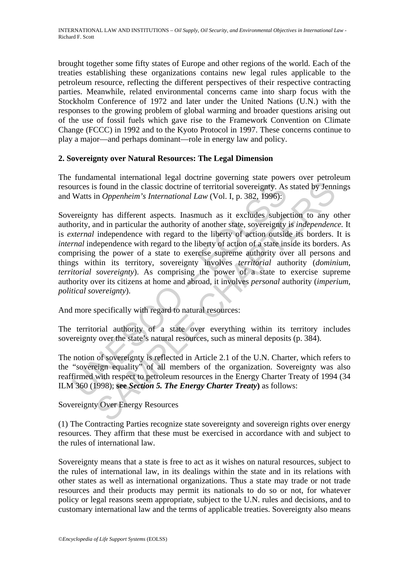brought together some fifty states of Europe and other regions of the world. Each of the treaties establishing these organizations contains new legal rules applicable to the petroleum resource, reflecting the different perspectives of their respective contracting parties. Meanwhile, related environmental concerns came into sharp focus with the Stockholm Conference of 1972 and later under the United Nations (U.N.) with the responses to the growing problem of global warming and broader questions arising out of the use of fossil fuels which gave rise to the Framework Convention on Climate Change (FCCC) in 1992 and to the Kyoto Protocol in 1997. These concerns continue to play a major—and perhaps dominant—role in energy law and policy.

# **2. Sovereignty over Natural Resources: The Legal Dimension**

The fundamental international legal doctrine governing state powers over petroleum resources is found in the classic doctrine of territorial sovereignty. As stated by Jennings and Watts in *Oppenheim's International Law* (Vol. I, p. 382, 1996):

urces is found in the classic doctrine of territorial sovereignty. As<br>Watts in *Oppenheim's International Law* (Vol. I, p. 382, 1996):<br>ereignty has different aspects. Inasmuch as it excludes subject<br>ority, and in particula is found in the classic doctrine of territorial sovereignty. As stated by Jenn<br>in *Oppenheim's International Law* (Vol. I, p. 382, 1996):<br>y has different aspects. Inasmuch as it excludes subjection to any common in *Oppenh* Sovereignty has different aspects. Inasmuch as it excludes subjection to any other authority, and in particular the authority of another state, sovereignty is *independence.* It is *external* independence with regard to the liberty of action outside its borders. It is *internal* independence with regard to the liberty of action of a state inside its borders. As comprising the power of a state to exercise supreme authority over all persons and things within its territory, sovereignty involves *territorial* authority (*dominium*, *territorial sovereignty*). As comprising the power of a state to exercise supreme authority over its citizens at home and abroad, it involves *personal* authority (*imperium, political sovereignty*).

And more specifically with regard to natural resources:

The territorial authority of a state over everything within its territory includes sovereignty over the state's natural resources, such as mineral deposits (p. 384).

The notion of sovereignty is reflected in Article 2.1 of the U.N. Charter, which refers to the "sovereign equality" of all members of the organization. Sovereignty was also reaffirmed with respect to petroleum resources in the Energy Charter Treaty of 1994 (34 ILM 360 (1998); **see** *Section 5. The Energy Charter Treaty***)** as follows:

Sovereignty Over Energy Resources

(1) The Contracting Parties recognize state sovereignty and sovereign rights over energy resources. They affirm that these must be exercised in accordance with and subject to the rules of international law.

Sovereignty means that a state is free to act as it wishes on natural resources, subject to the rules of international law, in its dealings within the state and in its relations with other states as well as international organizations. Thus a state may trade or not trade resources and their products may permit its nationals to do so or not, for whatever policy or legal reasons seem appropriate, subject to the U.N. rules and decisions, and to customary international law and the terms of applicable treaties. Sovereignty also means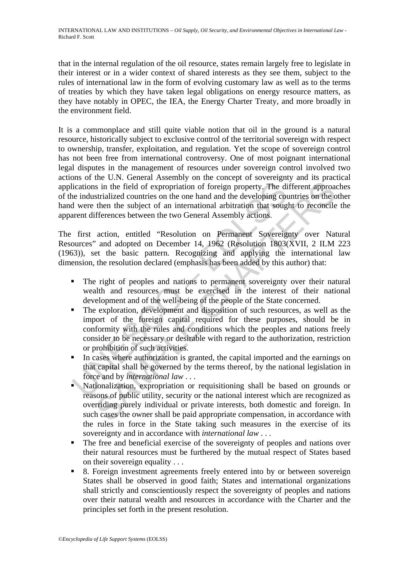that in the internal regulation of the oil resource, states remain largely free to legislate in their interest or in a wider context of shared interests as they see them, subject to the rules of international law in the form of evolving customary law as well as to the terms of treaties by which they have taken legal obligations on energy resource matters, as they have notably in OPEC, the IEA, the Energy Charter Treaty, and more broadly in the environment field.

It is a commonplace and still quite viable notion that oil in the ground is a natural resource, historically subject to exclusive control of the territorial sovereign with respect to ownership, transfer, exploitation, and regulation. Yet the scope of sovereign control has not been free from international controversy. One of most poignant international legal disputes in the management of resources under sovereign control involved two actions of the U.N. General Assembly on the concept of sovereignty and its practical applications in the field of expropriation of foreign property. The different approaches of the industrialized countries on the one hand and the developing countries on the other hand were then the subject of an international arbitration that sought to reconcile the apparent differences between the two General Assembly actions.

The first action, entitled "Resolution on Permanent Sovereignty over Natural Resources" and adopted on December 14, 1962 (Resolution 1803(XVII, 2 ILM 223 (1963)), set the basic pattern. Recognizing and applying the international law dimension, the resolution declared (emphasis has been added by this author) that:

- The right of peoples and nations to permanent sovereignty over their natural wealth and resources must be exercised in the interest of their national development and of the well-being of the people of the State concerned.
- dications in the field of expropriation of foreign property. The di<br>
e industrialized countries on the one hand and the developing countries<br>
e industrialized countries on the one hand and the developing could<br>
are then t is in the field of expropriation of foreign property. The different approaching is in the field of expropriation of foreign property. The different approaching strialized countries on the one hand and the developing count The exploration, development and disposition of such resources, as well as the import of the foreign capital required for these purposes, should be in conformity with the rules and conditions which the peoples and nations freely consider to be necessary or desirable with regard to the authorization, restriction or prohibition of such activities.
- In cases where authorization is granted, the capital imported and the earnings on that capital shall be governed by the terms thereof, by the national legislation in force and by *international law* . . .
- Nationalization, expropriation or requisitioning shall be based on grounds or reasons of public utility, security or the national interest which are recognized as overriding purely individual or private interests, both domestic and foreign. In such cases the owner shall be paid appropriate compensation, in accordance with the rules in force in the State taking such measures in the exercise of its sovereignty and in accordance with *international law* . . .
- The free and beneficial exercise of the sovereignty of peoples and nations over their natural resources must be furthered by the mutual respect of States based on their sovereign equality . . .
- 8. Foreign investment agreements freely entered into by or between sovereign States shall be observed in good faith; States and international organizations shall strictly and conscientiously respect the sovereignty of peoples and nations over their natural wealth and resources in accordance with the Charter and the principles set forth in the present resolution.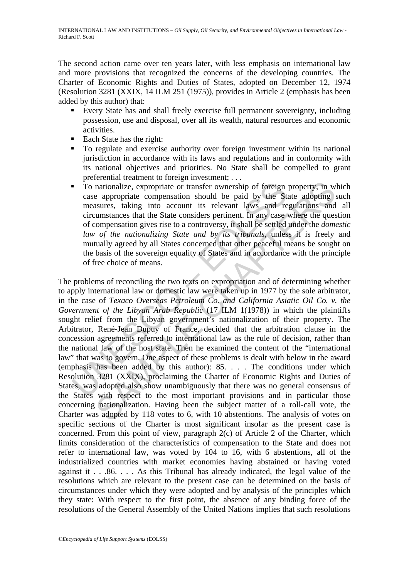The second action came over ten years later, with less emphasis on international law and more provisions that recognized the concerns of the developing countries. The Charter of Economic Rights and Duties of States, adopted on December 12, 1974 (Resolution 3281 (XXIX, 14 ILM 251 (1975)), provides in Article 2 (emphasis has been added by this author) that:

- Every State has and shall freely exercise full permanent sovereignty, including possession, use and disposal, over all its wealth, natural resources and economic activities.
- Each State has the right:
- To regulate and exercise authority over foreign investment within its national jurisdiction in accordance with its laws and regulations and in conformity with its national objectives and priorities. No State shall be compelled to grant preferential treatment to foreign investment; . . .
- To nationalize, expropriate or transfer ownership of foreign property, in which case appropriate compensation should be paid by the State adopting such measures, taking into account its relevant laws and regulations and all circumstances that the State considers pertinent. In any case where the question of compensation gives rise to a controversy, it shall be settled under the *domestic law of the nationalizing State and by its tribunals,* unless it is freely and mutually agreed by all States concerned that other peaceful means be sought on the basis of the sovereign equality of States and in accordance with the principle of free choice of means.

To nationalize, expropriate or transfer ownership of foreign<br>case appropriate compensation should be paid by the St.<br>measures, taking into account its relevant laws and re<br>circumstances that the State considers pertinent. nationalize, expropriate or transfer ownership of foreign property, in w<br>antionalize, expropriate or transfer ownership of foreign property, in w<br>susues, taking into account its relevant laws and regulations and<br>susues tu The problems of reconciling the two texts on expropriation and of determining whether to apply international law or domestic law were taken up in 1977 by the sole arbitrator, in the case of *Texaco Overseas Petroleum Co. and California Asiatic Oil Co. v. the Government of the Libyan Arab Republic* (17 ILM 1(1978)) in which the plaintiffs sought relief from the Libyan government's nationalization of their property. The Arbitrator, René-Jean Dupuy of France, decided that the arbitration clause in the concession agreements referred to international law as the rule of decision, rather than the national law of the host state. Then he examined the content of the "international law" that was to govern. One aspect of these problems is dealt with below in the award (emphasis has been added by this author): 85. . . . The conditions under which Resolution 3281 (XXIX), proclaiming the Charter of Economic Rights and Duties of States, was adopted also show unambiguously that there was no general consensus of the States with respect to the most important provisions and in particular those concerning nationalization. Having been the subject matter of a roll-call vote, the Charter was adopted by 118 votes to 6, with 10 abstentions. The analysis of votes on specific sections of the Charter is most significant insofar as the present case is concerned. From this point of view, paragraph 2(c) of Article 2 of the Charter, which limits consideration of the characteristics of compensation to the State and does not refer to international law, was voted by 104 to 16, with 6 abstentions, all of the industrialized countries with market economies having abstained or having voted against it . . .86. . . . As this Tribunal has already indicated, the legal value of the resolutions which are relevant to the present case can be determined on the basis of circumstances under which they were adopted and by analysis of the principles which they state: With respect to the first point, the absence of any binding force of the resolutions of the General Assembly of the United Nations implies that such resolutions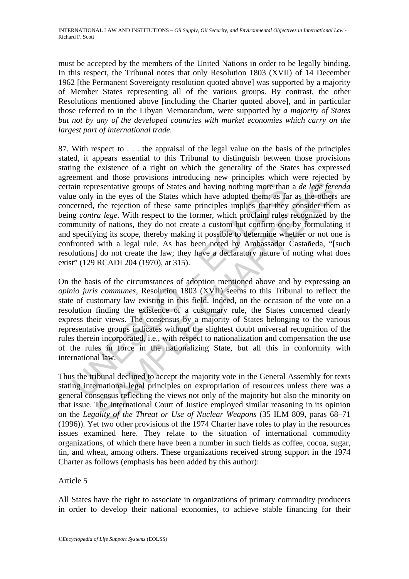must be accepted by the members of the United Nations in order to be legally binding. In this respect, the Tribunal notes that only Resolution 1803 (XVII) of 14 December 1962 [the Permanent Sovereignty resolution quoted above] was supported by a majority of Member States representing all of the various groups. By contrast, the other Resolutions mentioned above [including the Charter quoted above], and in particular those referred to in the Libyan Memorandum, were supported by *a majority of States but not by any of the developed countries with market economies which carry on the largest part of international trade.* 

ain representative groups of States and having nothing more thare in end only in the eyes of the States which have adopted them; as facerned, the rejection of these same principles implies that they g *contra lege*. With resentative groups of States and having mothing more than a *de lege fere*<br>in the eyes of the States which have adopted them, as far as the others<br>the rejection of these same principles implies that they consider then<br> $ra$ 87. With respect to . . . the appraisal of the legal value on the basis of the principles stated, it appears essential to this Tribunal to distinguish between those provisions stating the existence of a right on which the generality of the States has expressed agreement and those provisions introducing new principles which were rejected by certain representative groups of States and having nothing more than a *de lege ferenda* value only in the eyes of the States which have adopted them; as far as the others are concerned, the rejection of these same principles implies that they consider them as being *contra lege*. With respect to the former, which proclaim rules recognized by the community of nations, they do not create a custom but confirm one by formulating it and specifying its scope, thereby making it possible to determine whether or not one is confronted with a legal rule. As has been noted by Ambassador Castañeda, "[such resolutions] do not create the law; they have a declaratory nature of noting what does exist" (129 RCADI 204 (1970), at 315).

On the basis of the circumstances of adoption mentioned above and by expressing an *opinio juris communes*, Resolution 1803 (XVII) seems to this Tribunal to reflect the state of customary law existing in this field. Indeed, on the occasion of the vote on a resolution finding the existence of a customary rule, the States concerned clearly express their views. The consensus by a majority of States belonging to the various representative groups indicates without the slightest doubt universal recognition of the rules therein incorporated, i.e., with respect to nationalization and compensation the use of the rules in force in the nationalizing State, but all this in conformity with international law.

Thus the tribunal declined to accept the majority vote in the General Assembly for texts stating international legal principles on expropriation of resources unless there was a general consensus reflecting the views not only of the majority but also the minority on that issue. The International Court of Justice employed similar reasoning in its opinion on the *Legality of the Threat or Use of Nuclear Weapons* (35 ILM 809, paras 68–71 (1996)). Yet two other provisions of the 1974 Charter have roles to play in the resources issues examined here. They relate to the situation of international commodity organizations, of which there have been a number in such fields as coffee, cocoa, sugar, tin, and wheat, among others. These organizations received strong support in the 1974 Charter as follows (emphasis has been added by this author):

Article 5

All States have the right to associate in organizations of primary commodity producers in order to develop their national economies, to achieve stable financing for their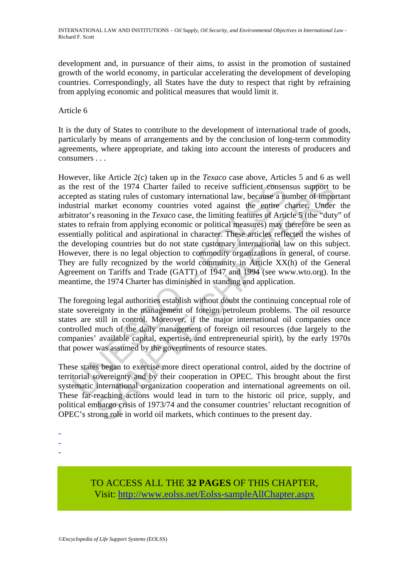development and, in pursuance of their aims, to assist in the promotion of sustained growth of the world economy, in particular accelerating the development of developing countries. Correspondingly, all States have the duty to respect that right by refraining from applying economic and political measures that would limit it.

# Article 6

It is the duty of States to contribute to the development of international trade of goods, particularly by means of arrangements and by the conclusion of long-term commodity agreements, where appropriate, and taking into account the interests of producers and consumers . . .

the rest of the 1974 Charter failed to receive sufficient conserpted as stating rules of customary international law, because a nustrial market economy countries voted against the entire ctrator's reasoning in the *Texaco* of the 1974 Charter failed to receive sufficient consensus support to stating rules of customary international law, because a number of important enterminant entermines voted against the entire charter. Under reasoning in However, like Article 2(c) taken up in the *Texaco* case above, Articles 5 and 6 as well as the rest of the 1974 Charter failed to receive sufficient consensus support to be accepted as stating rules of customary international law, because a number of important industrial market economy countries voted against the entire charter. Under the arbitrator's reasoning in the *Texaco* case, the limiting features of Article 5 (the "duty" of states to refrain from applying economic or political measures) may therefore be seen as essentially political and aspirational in character. These articles reflected the wishes of the developing countries but do not state customary international law on this subject. However, there is no legal objection to commodity organizations in general, of course. They are fully recognized by the world community in Article XX(h) of the General Agreement on Tariffs and Trade (GATT) of 1947 and 1994 (see www.wto.org). In the meantime, the 1974 Charter has diminished in standing and application.

The foregoing legal authorities establish without doubt the continuing conceptual role of state sovereignty in the management of foreign petroleum problems. The oil resource states are still in control. Moreover, if the major international oil companies once controlled much of the daily management of foreign oil resources (due largely to the companies' available capital, expertise, and entrepreneurial spirit), by the early 1970s that power was assumed by the governments of resource states.

These states began to exercise more direct operational control, aided by the doctrine of territorial sovereignty and by their cooperation in OPEC. This brought about the first systematic international organization cooperation and international agreements on oil. These far-reaching actions would lead in turn to the historic oil price, supply, and political embargo crisis of 1973/74 and the consumer countries' reluctant recognition of OPEC's strong role in world oil markets, which continues to the present day.

- -
- -
- -

TO ACCESS ALL THE **32 PAGES** OF THIS CHAPTER, Visit[: http://www.eolss.net/Eolss-sampleAllChapter.aspx](https://www.eolss.net/ebooklib/sc_cart.aspx?File=E1-36-02-01)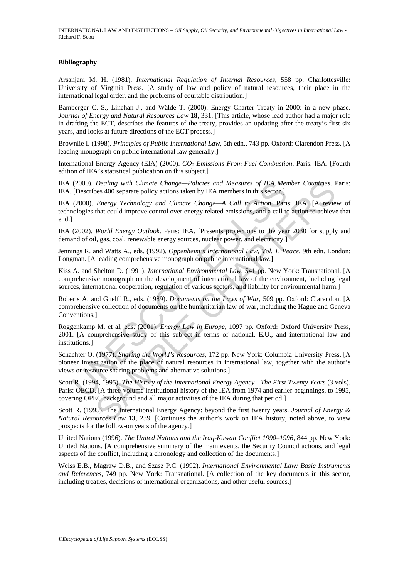INTERNATIONAL LAW AND INSTITUTIONS – *Oil Supply, Oil Security, and Environmental Objectives in International Law* - Richard F. Scott

#### **Bibliography**

Arsanjani M. H. (1981). *International Regulation of Internal Resources*, 558 pp. Charlottesville: University of Virginia Press. [A study of law and policy of natural resources, their place in the international legal order, and the problems of equitable distribution.]

Bamberger C. S., Linehan J., and Wälde T. (2000). Energy Charter Treaty in 2000: in a new phase. *Journal of Energy and Natural Resources Law* **18**, 331. [This article, whose lead author had a major role in drafting the ECT, describes the features of the treaty, provides an updating after the treaty's first six years, and looks at future directions of the ECT process.]

Brownlie I. (1998). *Principles of Public International Law*, 5th edn., 743 pp. Oxford: Clarendon Press. [A leading monograph on public international law generally.]

International Energy Agency (EIA) (2000). *CO2 Emissions From Fuel Combustion*. Paris: IEA. [Fourth edition of IEA's statistical publication on this subject.]

IEA (2000). *Dealing with Climate Change—Policies and Measures of IEA Member Countries*. Paris: IEA. [Describes 400 separate policy actions taken by IEA members in this sector.]

IEA (2000). *Energy Technology and Climate Change—A Call to Action*. Paris: IEA. [A review of technologies that could improve control over energy related emissions, and a call to action to achieve that end.]

IEA (2002). *World Energy Outlook*. Paris: IEA. [Presents projections to the year 2030 for supply and demand of oil, gas, coal, renewable energy sources, nuclear power, and electricity.]

Jennings R. and Watts A., eds. (1992). *Oppenheim's International Law, Vol. 1. Peace*, 9th edn. London: Longman. [A leading comprehensive monograph on public international law.]

Kiss A. and Shelton D. (1991). *International Environmental Law*, 541 pp. New York: Transnational. [A comprehensive monograph on the development of international law of the environment, including legal sources, international cooperation, regulation of various sectors, and liability for environmental harm.]

(2000). *Dealing with Climate Change—Policies and Measures of IEA Mer* [Describes 400 separate policy actions taken by IEA members in this sector.] (2000). *Energy Technology and Climate Change—A Call to Action*. Particle Dealing with Climate Change-Policies and Measures of IEA Member Countries. Is<br>best 400 separate policy actions taken by IEA members in this sector.<br>I Energy Technology and Climate Change-A Call to Action, Paris: IEA, [A re Roberts A. and Guelff R., eds. (1989). *Documents on the Laws of War*, 509 pp. Oxford: Clarendon. [A comprehensive collection of documents on the humanitarian law of war, including the Hague and Geneva Conventions.]

Roggenkamp M. et al, eds. (2001). *Energy Law in Europe*, 1097 pp. Oxford: Oxford University Press, 2001. [A comprehensive study of this subject in terms of national, E.U., and international law and institutions.]

Schachter O. (1977). *Sharing the World's Resources*, 172 pp. New York: Columbia University Press. [A pioneer investigation of the place of natural resources in international law, together with the author's views on resource sharing problems and alternative solutions.]

Scott R. (1994, 1995). *The History of the International Energy Agency—The First Twenty Years* (3 vols). Paris: OECD. [A three-volume institutional history of the IEA from 1974 and earlier beginnings, to 1995, covering OPEC background and all major activities of the IEA during that period.]

Scott R. (1995). The International Energy Agency: beyond the first twenty years. *Journal of Energy & Natural Resources Law* **13**, 239. [Continues the author's work on IEA history, noted above, to view prospects for the follow-on years of the agency.]

United Nations (1996). *The United Nations and the Iraq-Kuwait Conflict 1990–1996*, 844 pp. New York: United Nations. [A comprehensive summary of the main events, the Security Council actions, and legal aspects of the conflict, including a chronology and collection of the documents.]

Weiss E.B., Magraw D.B., and Szasz P.C. (1992). *International Environmental Law: Basic Instruments and References*, 749 pp. New York: Transnational. [A collection of the key documents in this sector, including treaties, decisions of international organizations, and other useful sources.]